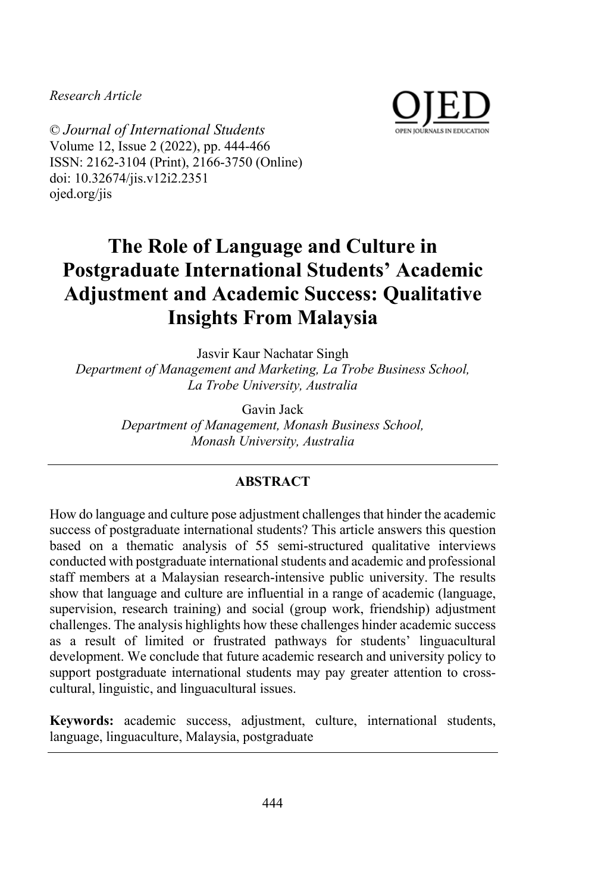*Research Article*



© *Journal of International Students* Volume 12, Issue 2 (2022), pp. 444-466 ISSN: 2162-3104 (Print), 2166-3750 (Online) doi: 10.32674/jis.v12i2.2351 ojed.org/jis

# **The Role of Language and Culture in Postgraduate International Students' Academic Adjustment and Academic Success: Qualitative Insights From Malaysia**

Jasvir Kaur Nachatar Singh *Department of Management and Marketing, La Trobe Business School, La Trobe University, Australia*

> Gavin Jack *Department of Management, Monash Business School, Monash University, Australia*

# **ABSTRACT**

How do language and culture pose adjustment challenges that hinder the academic success of postgraduate international students? This article answers this question based on a thematic analysis of 55 semi-structured qualitative interviews conducted with postgraduate international students and academic and professional staff members at a Malaysian research-intensive public university. The results show that language and culture are influential in a range of academic (language, supervision, research training) and social (group work, friendship) adjustment challenges. The analysis highlights how these challenges hinder academic success as a result of limited or frustrated pathways for students' linguacultural development. We conclude that future academic research and university policy to support postgraduate international students may pay greater attention to crosscultural, linguistic, and linguacultural issues.

**Keywords:** academic success, adjustment, culture, international students, language, linguaculture, Malaysia, postgraduate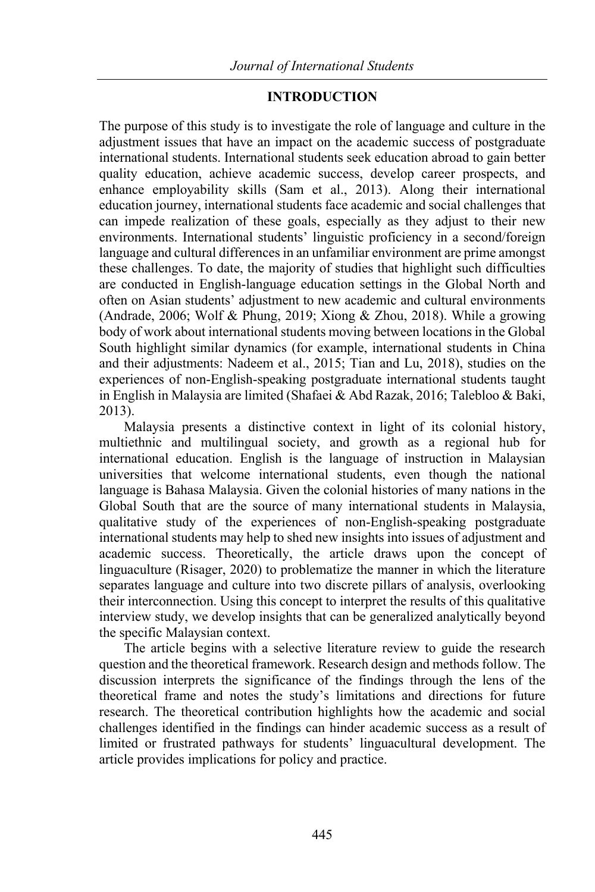## **INTRODUCTION**

The purpose of this study is to investigate the role of language and culture in the adjustment issues that have an impact on the academic success of postgraduate international students. International students seek education abroad to gain better quality education, achieve academic success, develop career prospects, and enhance employability skills (Sam et al., 2013). Along their international education journey, international students face academic and social challenges that can impede realization of these goals, especially as they adjust to their new environments. International students' linguistic proficiency in a second/foreign language and cultural differences in an unfamiliar environment are prime amongst these challenges. To date, the majority of studies that highlight such difficulties are conducted in English-language education settings in the Global North and often on Asian students' adjustment to new academic and cultural environments (Andrade, 2006; Wolf & Phung, 2019; Xiong & Zhou, 2018). While a growing body of work about international students moving between locations in the Global South highlight similar dynamics (for example, international students in China and their adjustments: Nadeem et al., 2015; Tian and Lu, 2018), studies on the experiences of non-English-speaking postgraduate international students taught in English in Malaysia are limited (Shafaei & Abd Razak, 2016; Talebloo & Baki, 2013).

Malaysia presents a distinctive context in light of its colonial history, multiethnic and multilingual society, and growth as a regional hub for international education. English is the language of instruction in Malaysian universities that welcome international students, even though the national language is Bahasa Malaysia. Given the colonial histories of many nations in the Global South that are the source of many international students in Malaysia, qualitative study of the experiences of non-English-speaking postgraduate international students may help to shed new insights into issues of adjustment and academic success. Theoretically, the article draws upon the concept of linguaculture (Risager, 2020) to problematize the manner in which the literature separates language and culture into two discrete pillars of analysis, overlooking their interconnection. Using this concept to interpret the results of this qualitative interview study, we develop insights that can be generalized analytically beyond the specific Malaysian context.

The article begins with a selective literature review to guide the research question and the theoretical framework. Research design and methods follow. The discussion interprets the significance of the findings through the lens of the theoretical frame and notes the study's limitations and directions for future research. The theoretical contribution highlights how the academic and social challenges identified in the findings can hinder academic success as a result of limited or frustrated pathways for students' linguacultural development. The article provides implications for policy and practice.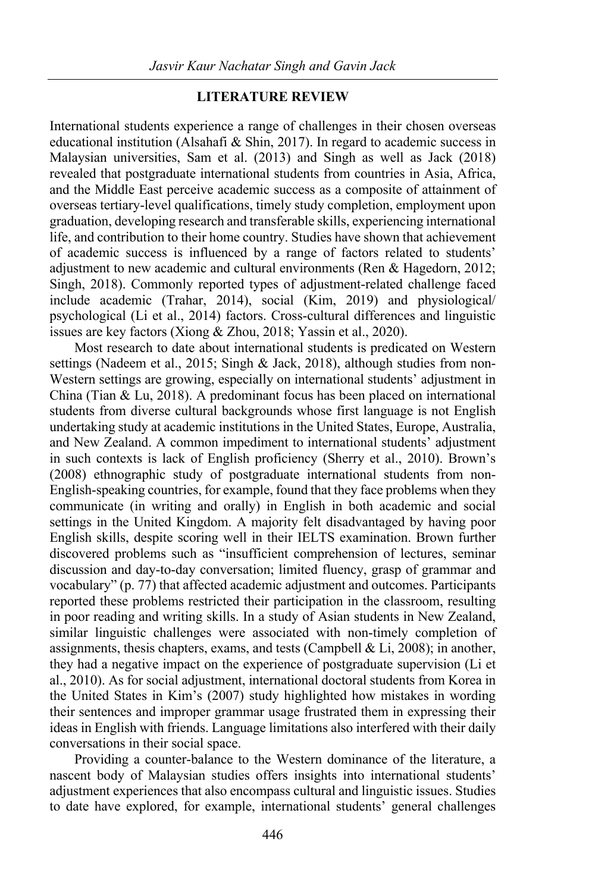## **LITERATURE REVIEW**

International students experience a range of challenges in their chosen overseas educational institution (Alsahafi & Shin, 2017). In regard to academic success in Malaysian universities, Sam et al. (2013) and Singh as well as Jack (2018) revealed that postgraduate international students from countries in Asia, Africa, and the Middle East perceive academic success as a composite of attainment of overseas tertiary-level qualifications, timely study completion, employment upon graduation, developing research and transferable skills, experiencing international life, and contribution to their home country. Studies have shown that achievement of academic success is influenced by a range of factors related to students' adjustment to new academic and cultural environments (Ren & Hagedorn, 2012; Singh, 2018). Commonly reported types of adjustment-related challenge faced include academic (Trahar, 2014), social (Kim, 2019) and physiological/ psychological (Li et al., 2014) factors. Cross-cultural differences and linguistic issues are key factors (Xiong & Zhou, 2018; Yassin et al., 2020).

Most research to date about international students is predicated on Western settings (Nadeem et al., 2015; Singh & Jack, 2018), although studies from non-Western settings are growing, especially on international students' adjustment in China (Tian & Lu, 2018). A predominant focus has been placed on international students from diverse cultural backgrounds whose first language is not English undertaking study at academic institutions in the United States, Europe, Australia, and New Zealand. A common impediment to international students' adjustment in such contexts is lack of English proficiency (Sherry et al., 2010). Brown's (2008) ethnographic study of postgraduate international students from non-English-speaking countries, for example, found that they face problems when they communicate (in writing and orally) in English in both academic and social settings in the United Kingdom. A majority felt disadvantaged by having poor English skills, despite scoring well in their IELTS examination. Brown further discovered problems such as "insufficient comprehension of lectures, seminar discussion and day-to-day conversation; limited fluency, grasp of grammar and vocabulary" (p. 77) that affected academic adjustment and outcomes. Participants reported these problems restricted their participation in the classroom, resulting in poor reading and writing skills. In a study of Asian students in New Zealand, similar linguistic challenges were associated with non-timely completion of assignments, thesis chapters, exams, and tests (Campbell & Li, 2008); in another, they had a negative impact on the experience of postgraduate supervision (Li et al., 2010). As for social adjustment, international doctoral students from Korea in the United States in Kim's (2007) study highlighted how mistakes in wording their sentences and improper grammar usage frustrated them in expressing their ideas in English with friends. Language limitations also interfered with their daily conversations in their social space.

Providing a counter-balance to the Western dominance of the literature, a nascent body of Malaysian studies offers insights into international students' adjustment experiences that also encompass cultural and linguistic issues. Studies to date have explored, for example, international students' general challenges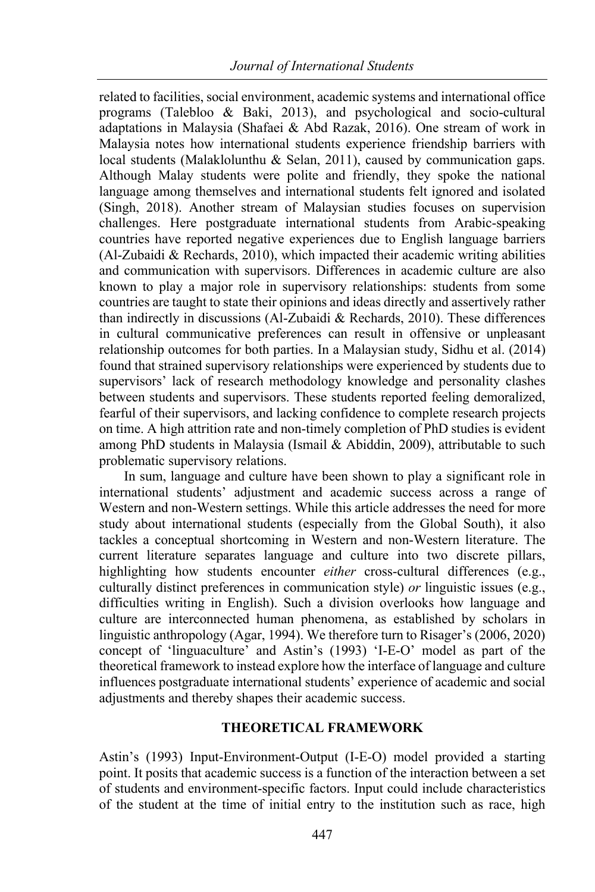related to facilities, social environment, academic systems and international office programs (Talebloo & Baki, 2013), and psychological and socio-cultural adaptations in Malaysia (Shafaei & Abd Razak, 2016). One stream of work in Malaysia notes how international students experience friendship barriers with local students (Malaklolunthu & Selan, 2011), caused by communication gaps. Although Malay students were polite and friendly, they spoke the national language among themselves and international students felt ignored and isolated (Singh, 2018). Another stream of Malaysian studies focuses on supervision challenges. Here postgraduate international students from Arabic-speaking countries have reported negative experiences due to English language barriers  $(AI-Zubaidi & Recharges, 2010)$ , which impacted their academic writing abilities and communication with supervisors. Differences in academic culture are also known to play a major role in supervisory relationships: students from some countries are taught to state their opinions and ideas directly and assertively rather than indirectly in discussions (Al-Zubaidi & Rechards, 2010). These differences in cultural communicative preferences can result in offensive or unpleasant relationship outcomes for both parties. In a Malaysian study, Sidhu et al. (2014) found that strained supervisory relationships were experienced by students due to supervisors' lack of research methodology knowledge and personality clashes between students and supervisors. These students reported feeling demoralized, fearful of their supervisors, and lacking confidence to complete research projects on time. A high attrition rate and non-timely completion of PhD studies is evident among PhD students in Malaysia (Ismail & Abiddin, 2009), attributable to such problematic supervisory relations.

In sum, language and culture have been shown to play a significant role in international students' adjustment and academic success across a range of Western and non-Western settings. While this article addresses the need for more study about international students (especially from the Global South), it also tackles a conceptual shortcoming in Western and non-Western literature. The current literature separates language and culture into two discrete pillars, highlighting how students encounter *either* cross-cultural differences (e.g., culturally distinct preferences in communication style) *or* linguistic issues (e.g., difficulties writing in English). Such a division overlooks how language and culture are interconnected human phenomena, as established by scholars in linguistic anthropology (Agar, 1994). We therefore turn to Risager's (2006, 2020) concept of 'linguaculture' and Astin's (1993) 'I-E-O' model as part of the theoretical framework to instead explore how the interface of language and culture influences postgraduate international students' experience of academic and social adjustments and thereby shapes their academic success.

# **THEORETICAL FRAMEWORK**

Astin's (1993) Input-Environment-Output (I-E-O) model provided a starting point. It posits that academic success is a function of the interaction between a set of students and environment-specific factors. Input could include characteristics of the student at the time of initial entry to the institution such as race, high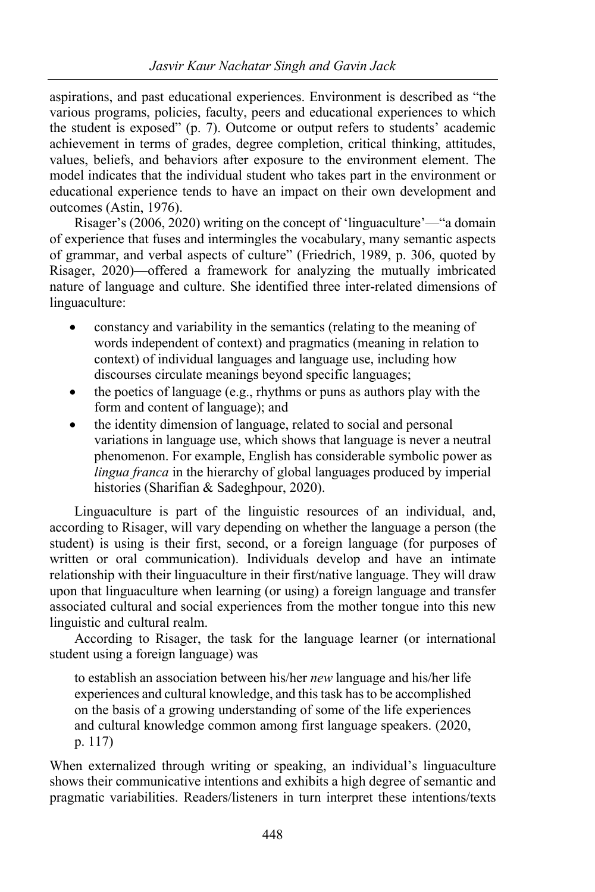aspirations, and past educational experiences. Environment is described as "the various programs, policies, faculty, peers and educational experiences to which the student is exposed" (p. 7). Outcome or output refers to students' academic achievement in terms of grades, degree completion, critical thinking, attitudes, values, beliefs, and behaviors after exposure to the environment element. The model indicates that the individual student who takes part in the environment or educational experience tends to have an impact on their own development and outcomes (Astin, 1976).

Risager's (2006, 2020) writing on the concept of 'linguaculture'—"a domain of experience that fuses and intermingles the vocabulary, many semantic aspects of grammar, and verbal aspects of culture" (Friedrich, 1989, p. 306, quoted by Risager, 2020)—offered a framework for analyzing the mutually imbricated nature of language and culture. She identified three inter-related dimensions of linguaculture:

- constancy and variability in the semantics (relating to the meaning of words independent of context) and pragmatics (meaning in relation to context) of individual languages and language use, including how discourses circulate meanings beyond specific languages;
- the poetics of language (e.g., rhythms or puns as authors play with the form and content of language); and
- the identity dimension of language, related to social and personal variations in language use, which shows that language is never a neutral phenomenon. For example, English has considerable symbolic power as *lingua franca* in the hierarchy of global languages produced by imperial histories (Sharifian & Sadeghpour, 2020).

Linguaculture is part of the linguistic resources of an individual, and, according to Risager, will vary depending on whether the language a person (the student) is using is their first, second, or a foreign language (for purposes of written or oral communication). Individuals develop and have an intimate relationship with their linguaculture in their first/native language. They will draw upon that linguaculture when learning (or using) a foreign language and transfer associated cultural and social experiences from the mother tongue into this new linguistic and cultural realm.

According to Risager, the task for the language learner (or international student using a foreign language) was

to establish an association between his/her *new* language and his/her life experiences and cultural knowledge, and this task has to be accomplished on the basis of a growing understanding of some of the life experiences and cultural knowledge common among first language speakers. (2020, p. 117)

When externalized through writing or speaking, an individual's linguaculture shows their communicative intentions and exhibits a high degree of semantic and pragmatic variabilities. Readers/listeners in turn interpret these intentions/texts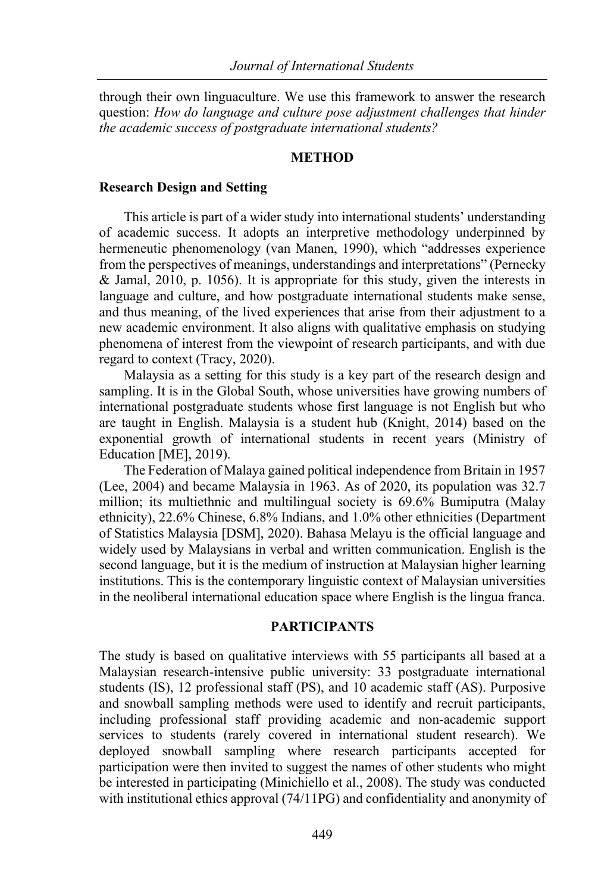through their own linguaculture. We use this framework to answer the research question: *How do language and culture pose adjustment challenges that hinder the academic success of postgraduate international students?*

#### **METHOD**

#### **Research Design and Setting**

This article is part of a wider study into international students' understanding of academic success. It adopts an interpretive methodology underpinned by hermeneutic phenomenology (van Manen, 1990), which "addresses experience from the perspectives of meanings, understandings and interpretations" (Pernecky & Jamal, 2010, p. 1056). It is appropriate for this study, given the interests in language and culture, and how postgraduate international students make sense, and thus meaning, of the lived experiences that arise from their adjustment to a new academic environment. It also aligns with qualitative emphasis on studying phenomena of interest from the viewpoint of research participants, and with due regard to context (Tracy, 2020).

Malaysia as a setting for this study is a key part of the research design and sampling. It is in the Global South, whose universities have growing numbers of international postgraduate students whose first language is not English but who are taught in English. Malaysia is a student hub (Knight, 2014) based on the exponential growth of international students in recent years (Ministry of Education [ME], 2019).

The Federation of Malaya gained political independence from Britain in 1957 (Lee, 2004) and became Malaysia in 1963. As of 2020, its population was 32.7 million; its multiethnic and multilingual society is 69.6% Bumiputra (Malay ethnicity), 22.6% Chinese, 6.8% Indians, and 1.0% other ethnicities (Department of Statistics Malaysia [DSM], 2020). Bahasa Melayu is the official language and widely used by Malaysians in verbal and written communication. English is the second language, but it is the medium of instruction at Malaysian higher learning institutions. This is the contemporary linguistic context of Malaysian universities in the neoliberal international education space where English is the lingua franca.

#### **PARTICIPANTS**

The study is based on qualitative interviews with 55 participants all based at a Malaysian research-intensive public university: 33 postgraduate international students (IS), 12 professional staff (PS), and 10 academic staff (AS). Purposive and snowball sampling methods were used to identify and recruit participants, including professional staff providing academic and non-academic support services to students (rarely covered in international student research). We deployed snowball sampling where research participants accepted for participation were then invited to suggest the names of other students who might be interested in participating (Minichiello et al., 2008). The study was conducted with institutional ethics approval (74/11PG) and confidentiality and anonymity of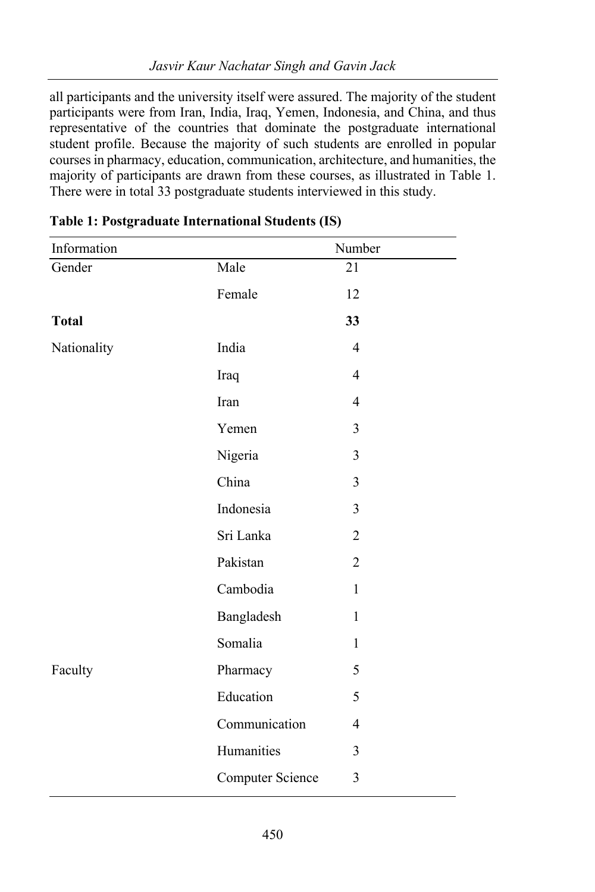all participants and the university itself were assured. The majority of the student participants were from Iran, India, Iraq, Yemen, Indonesia, and China, and thus representative of the countries that dominate the postgraduate international student profile. Because the majority of such students are enrolled in popular courses in pharmacy, education, communication, architecture, and humanities, the majority of participants are drawn from these courses, as illustrated in Table 1. There were in total 33 postgraduate students interviewed in this study.

| Information  |                  | Number         |
|--------------|------------------|----------------|
| Gender       | Male             | 21             |
|              | Female           | 12             |
| <b>Total</b> |                  | 33             |
| Nationality  | India            | $\overline{4}$ |
|              | Iraq             | $\overline{4}$ |
|              | Iran             | $\overline{4}$ |
|              | Yemen            | $\overline{3}$ |
|              | Nigeria          | 3              |
|              | China            | 3              |
|              | Indonesia        | 3              |
|              | Sri Lanka        | $\overline{2}$ |
|              | Pakistan         | $\overline{2}$ |
|              | Cambodia         | $\mathbf{1}$   |
|              | Bangladesh       | $\mathbf{1}$   |
|              | Somalia          | $\mathbf{1}$   |
| Faculty      | Pharmacy         | 5              |
|              | Education        | 5              |
|              | Communication    | $\overline{4}$ |
|              | Humanities       | $\overline{3}$ |
|              | Computer Science | $\overline{3}$ |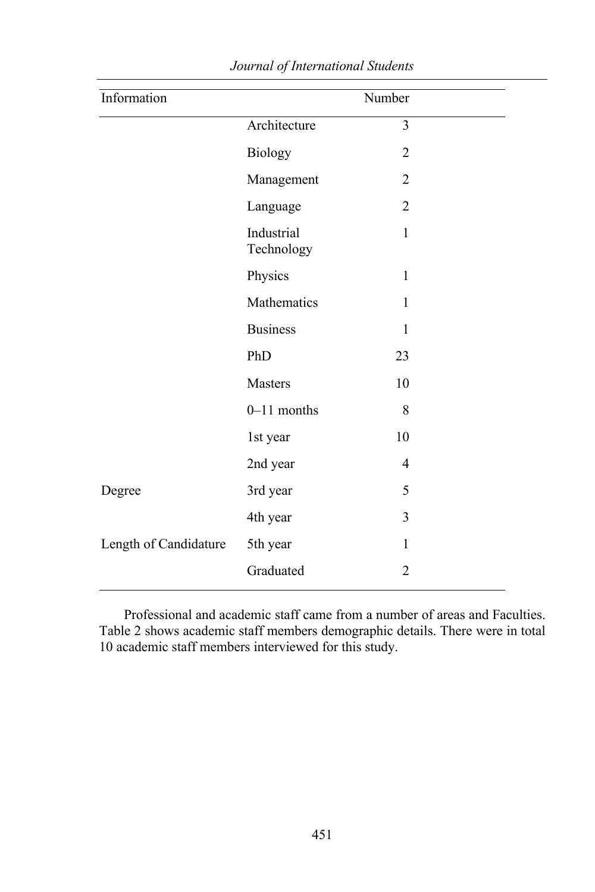| $\overline{\text{Number}}$ |
|----------------------------|
| $\overline{3}$             |
| $\overline{c}$             |
| $\overline{2}$             |
| $\overline{c}$             |
| $\mathbf{1}$               |
| $\mathbf{1}$               |
| $\mathbf{1}$               |
| $\mathbf{1}$               |
| 23                         |
| 10                         |
| $8\,$                      |
| 10                         |
| 4                          |
| 5                          |
| 3                          |
| $\mathbf{1}$               |
| $\overline{2}$             |
|                            |

Professional and academic staff came from a number of areas and Faculties. Table 2 shows academic staff members demographic details. There were in total 10 academic staff members interviewed for this study.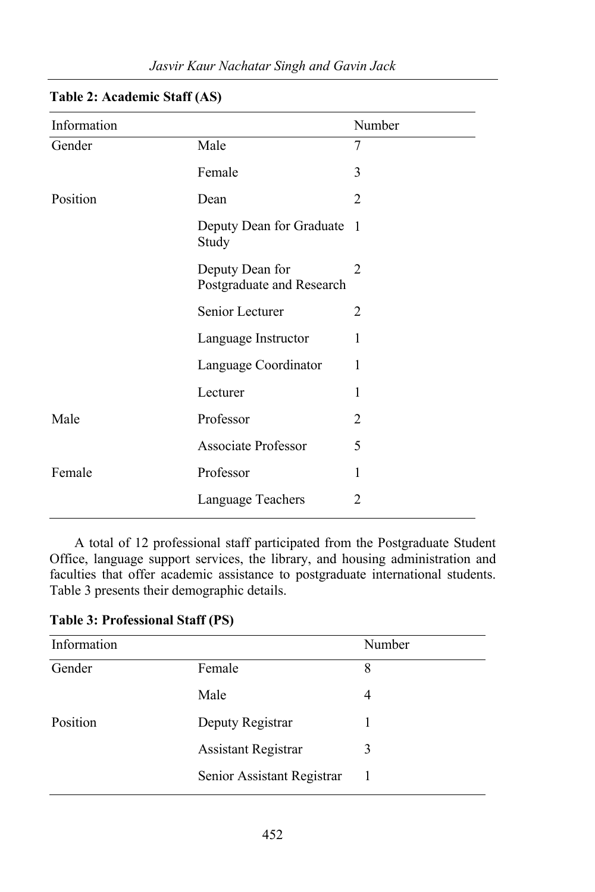| Information |                                              | Number |
|-------------|----------------------------------------------|--------|
| Gender      | Male                                         | 7      |
|             | Female                                       | 3      |
| Position    | Dean                                         | 2      |
|             | Deputy Dean for Graduate 1<br>Study          |        |
|             | Deputy Dean for<br>Postgraduate and Research | 2      |
|             | Senior Lecturer                              | 2      |
|             | Language Instructor                          | 1      |
|             | Language Coordinator                         | 1      |
|             | Lecturer                                     | 1      |
| Male        | Professor                                    | 2      |
|             | <b>Associate Professor</b>                   | 5      |
| Female      | Professor                                    | 1      |
|             | Language Teachers                            | 2      |

## *Jasvir Kaur Nachatar Singh and Gavin Jack*

**Table 2: Academic Staff (AS)**

A total of 12 professional staff participated from the Postgraduate Student Office, language support services, the library, and housing administration and faculties that offer academic assistance to postgraduate international students. Table 3 presents their demographic details.

|  | <b>Table 3: Professional Staff (PS)</b> |  |  |
|--|-----------------------------------------|--|--|
|--|-----------------------------------------|--|--|

| Information |                            | Number |
|-------------|----------------------------|--------|
| Gender      | Female                     | 8      |
|             | Male                       | 4      |
| Position    | Deputy Registrar           |        |
|             | <b>Assistant Registrar</b> | 3      |
|             | Senior Assistant Registrar |        |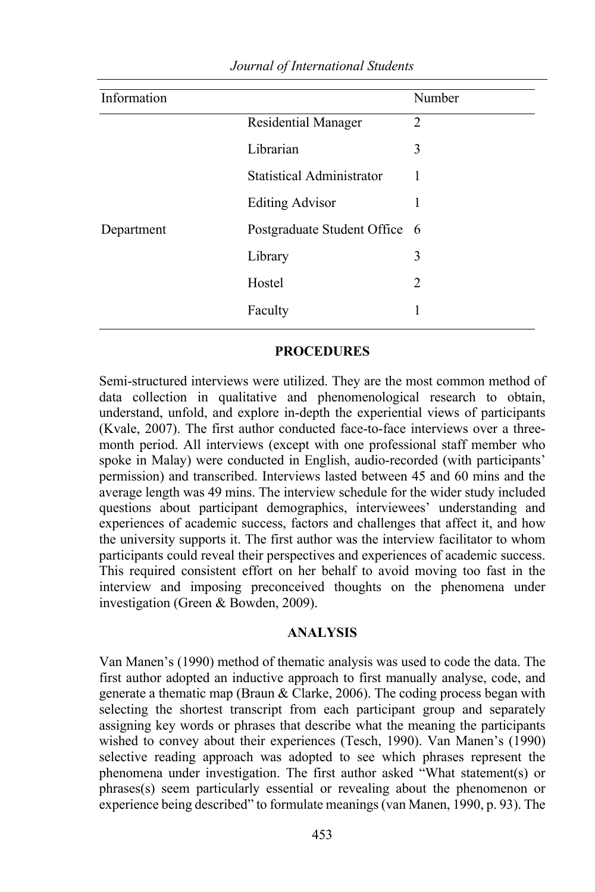| Information |                                  | Number |
|-------------|----------------------------------|--------|
|             | Residential Manager              | 2      |
|             | Librarian                        | 3      |
|             | <b>Statistical Administrator</b> |        |
|             | <b>Editing Advisor</b>           |        |
| Department  | Postgraduate Student Office 6    |        |
|             | Library                          | 3      |
|             | Hostel                           | 2      |
|             | Faculty                          |        |
|             |                                  |        |

## **PROCEDURES**

Semi-structured interviews were utilized. They are the most common method of data collection in qualitative and phenomenological research to obtain, understand, unfold, and explore in-depth the experiential views of participants (Kvale, 2007). The first author conducted face-to-face interviews over a threemonth period. All interviews (except with one professional staff member who spoke in Malay) were conducted in English, audio-recorded (with participants' permission) and transcribed. Interviews lasted between 45 and 60 mins and the average length was 49 mins. The interview schedule for the wider study included questions about participant demographics, interviewees' understanding and experiences of academic success, factors and challenges that affect it, and how the university supports it. The first author was the interview facilitator to whom participants could reveal their perspectives and experiences of academic success. This required consistent effort on her behalf to avoid moving too fast in the interview and imposing preconceived thoughts on the phenomena under investigation (Green & Bowden, 2009).

# **ANALYSIS**

Van Manen's (1990) method of thematic analysis was used to code the data. The first author adopted an inductive approach to first manually analyse, code, and generate a thematic map (Braun & Clarke, 2006). The coding process began with selecting the shortest transcript from each participant group and separately assigning key words or phrases that describe what the meaning the participants wished to convey about their experiences (Tesch, 1990). Van Manen's (1990) selective reading approach was adopted to see which phrases represent the phenomena under investigation. The first author asked "What statement(s) or phrases(s) seem particularly essential or revealing about the phenomenon or experience being described" to formulate meanings (van Manen, 1990, p. 93). The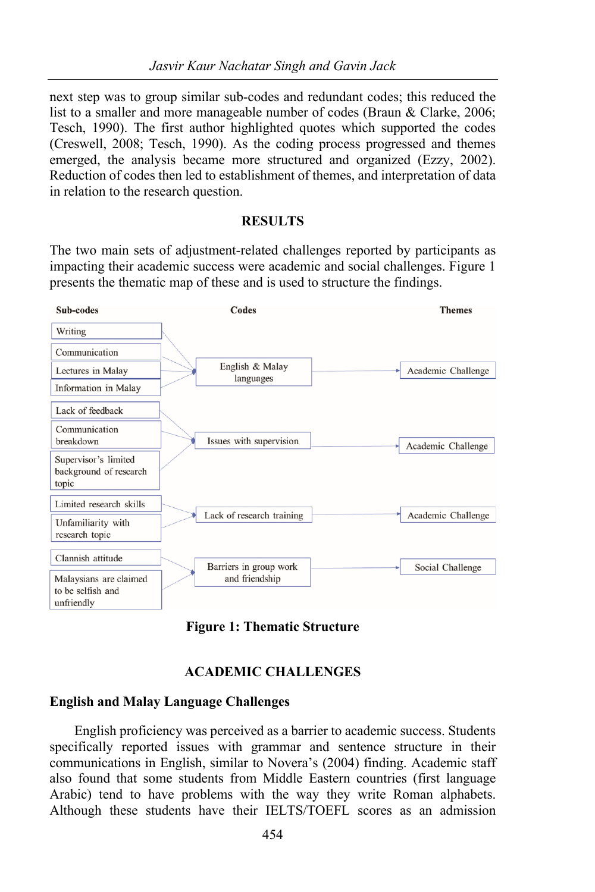next step was to group similar sub-codes and redundant codes; this reduced the list to a smaller and more manageable number of codes (Braun & Clarke, 2006; Tesch, 1990). The first author highlighted quotes which supported the codes (Creswell, 2008; Tesch, 1990). As the coding process progressed and themes emerged, the analysis became more structured and organized (Ezzy, 2002). Reduction of codes then led to establishment of themes, and interpretation of data in relation to the research question.

#### **RESULTS**

The two main sets of adjustment-related challenges reported by participants as impacting their academic success were academic and social challenges. Figure 1 presents the thematic map of these and is used to structure the findings.



**Figure 1: Thematic Structure**

#### **ACADEMIC CHALLENGES**

#### **English and Malay Language Challenges**

English proficiency was perceived as a barrier to academic success. Students specifically reported issues with grammar and sentence structure in their communications in English, similar to Novera's (2004) finding. Academic staff also found that some students from Middle Eastern countries (first language Arabic) tend to have problems with the way they write Roman alphabets. Although these students have their IELTS/TOEFL scores as an admission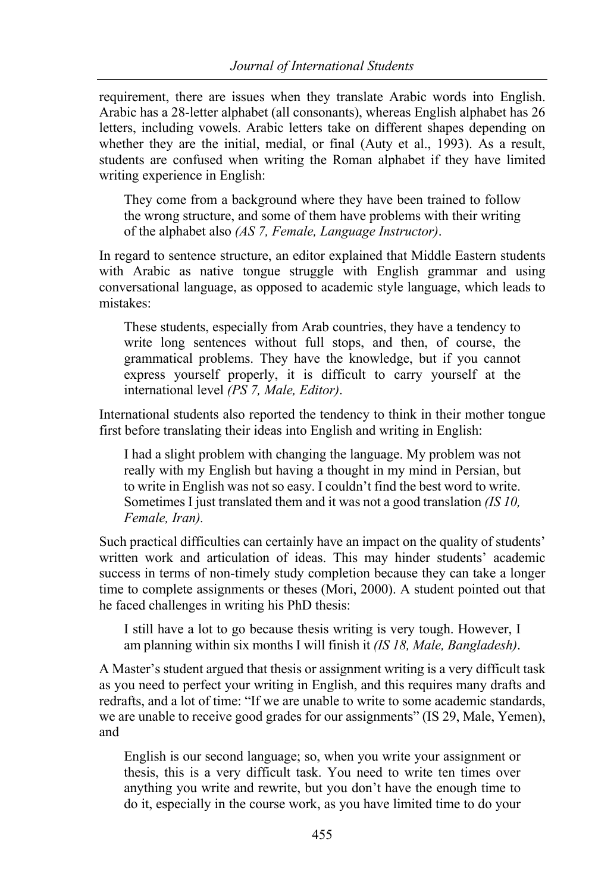requirement, there are issues when they translate Arabic words into English. Arabic has a 28-letter alphabet (all consonants), whereas English alphabet has 26 letters, including vowels. Arabic letters take on different shapes depending on whether they are the initial, medial, or final (Auty et al., 1993). As a result, students are confused when writing the Roman alphabet if they have limited writing experience in English:

They come from a background where they have been trained to follow the wrong structure, and some of them have problems with their writing of the alphabet also *(AS 7, Female, Language Instructor)*.

In regard to sentence structure, an editor explained that Middle Eastern students with Arabic as native tongue struggle with English grammar and using conversational language, as opposed to academic style language, which leads to mistakes:

These students, especially from Arab countries, they have a tendency to write long sentences without full stops, and then, of course, the grammatical problems. They have the knowledge, but if you cannot express yourself properly, it is difficult to carry yourself at the international level *(PS 7, Male, Editor)*.

International students also reported the tendency to think in their mother tongue first before translating their ideas into English and writing in English:

I had a slight problem with changing the language. My problem was not really with my English but having a thought in my mind in Persian, but to write in English was not so easy. I couldn't find the best word to write. Sometimes I just translated them and it was not a good translation *(IS 10, Female, Iran).*

Such practical difficulties can certainly have an impact on the quality of students' written work and articulation of ideas. This may hinder students' academic success in terms of non-timely study completion because they can take a longer time to complete assignments or theses (Mori, 2000). A student pointed out that he faced challenges in writing his PhD thesis:

I still have a lot to go because thesis writing is very tough. However, I am planning within six months I will finish it *(IS 18, Male, Bangladesh)*.

A Master's student argued that thesis or assignment writing is a very difficult task as you need to perfect your writing in English, and this requires many drafts and redrafts, and a lot of time: "If we are unable to write to some academic standards, we are unable to receive good grades for our assignments" (IS 29, Male, Yemen), and

English is our second language; so, when you write your assignment or thesis, this is a very difficult task. You need to write ten times over anything you write and rewrite, but you don't have the enough time to do it, especially in the course work, as you have limited time to do your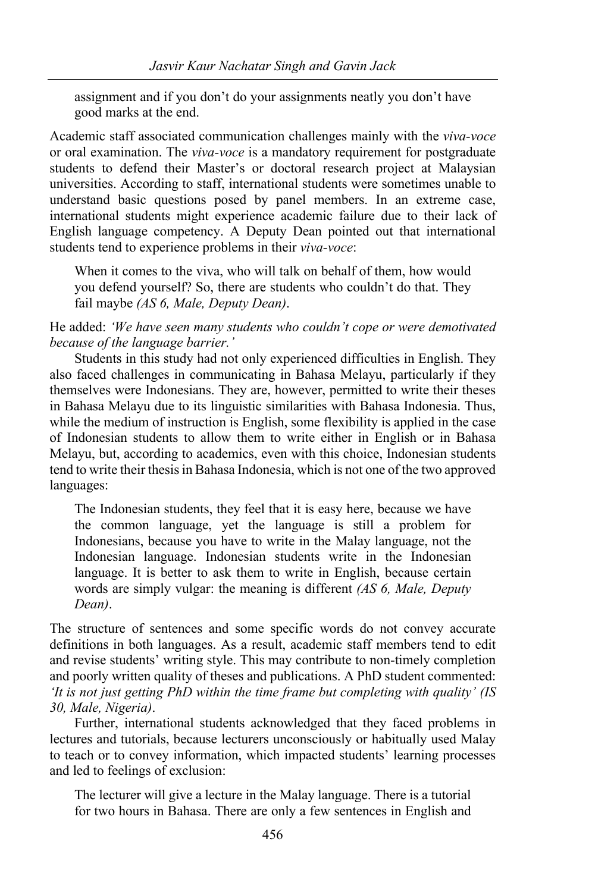assignment and if you don't do your assignments neatly you don't have good marks at the end.

Academic staff associated communication challenges mainly with the *viva-voce* or oral examination. The *viva-voce* is a mandatory requirement for postgraduate students to defend their Master's or doctoral research project at Malaysian universities. According to staff, international students were sometimes unable to understand basic questions posed by panel members. In an extreme case, international students might experience academic failure due to their lack of English language competency. A Deputy Dean pointed out that international students tend to experience problems in their *viva-voce*:

When it comes to the viva, who will talk on behalf of them, how would you defend yourself? So, there are students who couldn't do that. They fail maybe *(AS 6, Male, Deputy Dean)*.

He added: *'We have seen many students who couldn't cope or were demotivated because of the language barrier.'*

Students in this study had not only experienced difficulties in English. They also faced challenges in communicating in Bahasa Melayu, particularly if they themselves were Indonesians. They are, however, permitted to write their theses in Bahasa Melayu due to its linguistic similarities with Bahasa Indonesia. Thus, while the medium of instruction is English, some flexibility is applied in the case of Indonesian students to allow them to write either in English or in Bahasa Melayu, but, according to academics, even with this choice, Indonesian students tend to write their thesis in Bahasa Indonesia, which is not one of the two approved languages:

The Indonesian students, they feel that it is easy here, because we have the common language, yet the language is still a problem for Indonesians, because you have to write in the Malay language, not the Indonesian language. Indonesian students write in the Indonesian language. It is better to ask them to write in English, because certain words are simply vulgar: the meaning is different *(AS 6, Male, Deputy Dean)*.

The structure of sentences and some specific words do not convey accurate definitions in both languages. As a result, academic staff members tend to edit and revise students' writing style. This may contribute to non-timely completion and poorly written quality of theses and publications. A PhD student commented: *'It is not just getting PhD within the time frame but completing with quality' (IS 30, Male, Nigeria)*.

Further, international students acknowledged that they faced problems in lectures and tutorials, because lecturers unconsciously or habitually used Malay to teach or to convey information, which impacted students' learning processes and led to feelings of exclusion:

The lecturer will give a lecture in the Malay language. There is a tutorial for two hours in Bahasa. There are only a few sentences in English and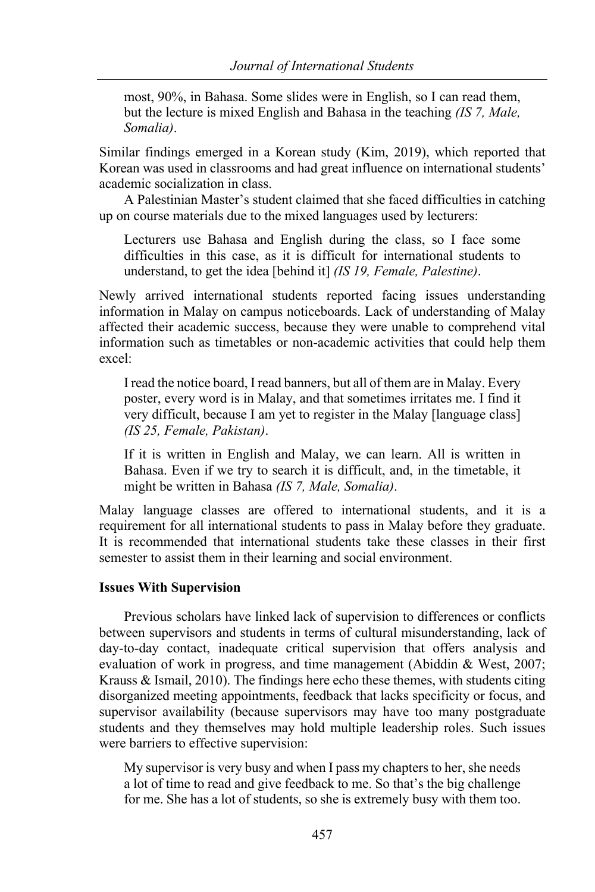most, 90%, in Bahasa. Some slides were in English, so I can read them, but the lecture is mixed English and Bahasa in the teaching *(IS 7, Male, Somalia)*.

Similar findings emerged in a Korean study (Kim, 2019), which reported that Korean was used in classrooms and had great influence on international students' academic socialization in class.

A Palestinian Master's student claimed that she faced difficulties in catching up on course materials due to the mixed languages used by lecturers:

Lecturers use Bahasa and English during the class, so I face some difficulties in this case, as it is difficult for international students to understand, to get the idea [behind it] *(IS 19, Female, Palestine)*.

Newly arrived international students reported facing issues understanding information in Malay on campus noticeboards. Lack of understanding of Malay affected their academic success, because they were unable to comprehend vital information such as timetables or non-academic activities that could help them excel:

I read the notice board, I read banners, but all of them are in Malay. Every poster, every word is in Malay, and that sometimes irritates me. I find it very difficult, because I am yet to register in the Malay [language class] *(IS 25, Female, Pakistan)*.

If it is written in English and Malay, we can learn. All is written in Bahasa. Even if we try to search it is difficult, and, in the timetable, it might be written in Bahasa *(IS 7, Male, Somalia)*.

Malay language classes are offered to international students, and it is a requirement for all international students to pass in Malay before they graduate. It is recommended that international students take these classes in their first semester to assist them in their learning and social environment.

## **Issues With Supervision**

Previous scholars have linked lack of supervision to differences or conflicts between supervisors and students in terms of cultural misunderstanding, lack of day-to-day contact, inadequate critical supervision that offers analysis and evaluation of work in progress, and time management (Abiddin & West, 2007; Krauss & Ismail, 2010). The findings here echo these themes, with students citing disorganized meeting appointments, feedback that lacks specificity or focus, and supervisor availability (because supervisors may have too many postgraduate students and they themselves may hold multiple leadership roles. Such issues were barriers to effective supervision:

My supervisor is very busy and when I pass my chapters to her, she needs a lot of time to read and give feedback to me. So that's the big challenge for me. She has a lot of students, so she is extremely busy with them too.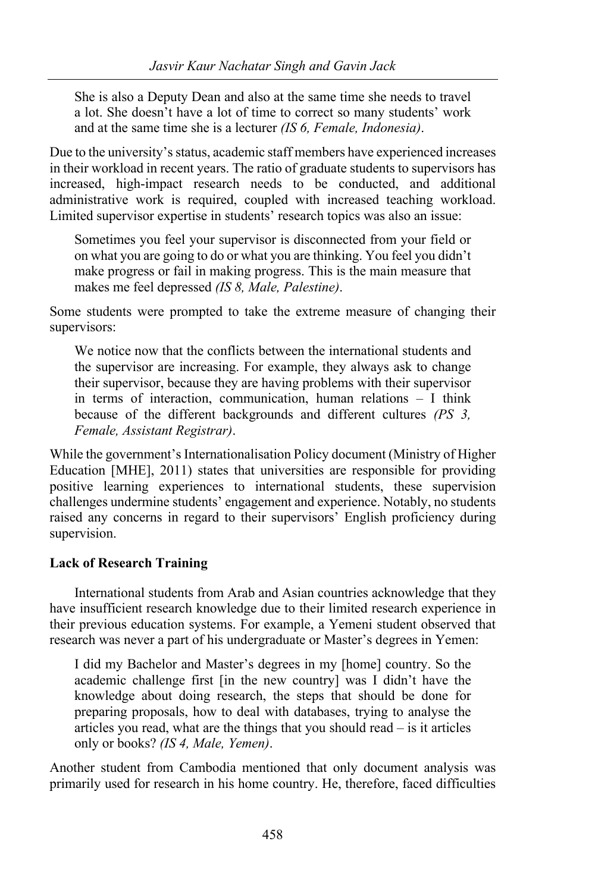She is also a Deputy Dean and also at the same time she needs to travel a lot. She doesn't have a lot of time to correct so many students' work and at the same time she is a lecturer *(IS 6, Female, Indonesia)*.

Due to the university's status, academic staff members have experienced increases in their workload in recent years. The ratio of graduate students to supervisors has increased, high-impact research needs to be conducted, and additional administrative work is required, coupled with increased teaching workload. Limited supervisor expertise in students' research topics was also an issue:

Sometimes you feel your supervisor is disconnected from your field or on what you are going to do or what you are thinking. You feel you didn't make progress or fail in making progress. This is the main measure that makes me feel depressed *(IS 8, Male, Palestine)*.

Some students were prompted to take the extreme measure of changing their supervisors:

We notice now that the conflicts between the international students and the supervisor are increasing. For example, they always ask to change their supervisor, because they are having problems with their supervisor in terms of interaction, communication, human relations – I think because of the different backgrounds and different cultures *(PS 3, Female, Assistant Registrar)*.

While the government's Internationalisation Policy document (Ministry of Higher Education [MHE], 2011) states that universities are responsible for providing positive learning experiences to international students, these supervision challenges undermine students' engagement and experience. Notably, no students raised any concerns in regard to their supervisors' English proficiency during supervision.

# **Lack of Research Training**

International students from Arab and Asian countries acknowledge that they have insufficient research knowledge due to their limited research experience in their previous education systems. For example, a Yemeni student observed that research was never a part of his undergraduate or Master's degrees in Yemen:

I did my Bachelor and Master's degrees in my [home] country. So the academic challenge first [in the new country] was I didn't have the knowledge about doing research, the steps that should be done for preparing proposals, how to deal with databases, trying to analyse the articles you read, what are the things that you should read – is it articles only or books? *(IS 4, Male, Yemen)*.

Another student from Cambodia mentioned that only document analysis was primarily used for research in his home country. He, therefore, faced difficulties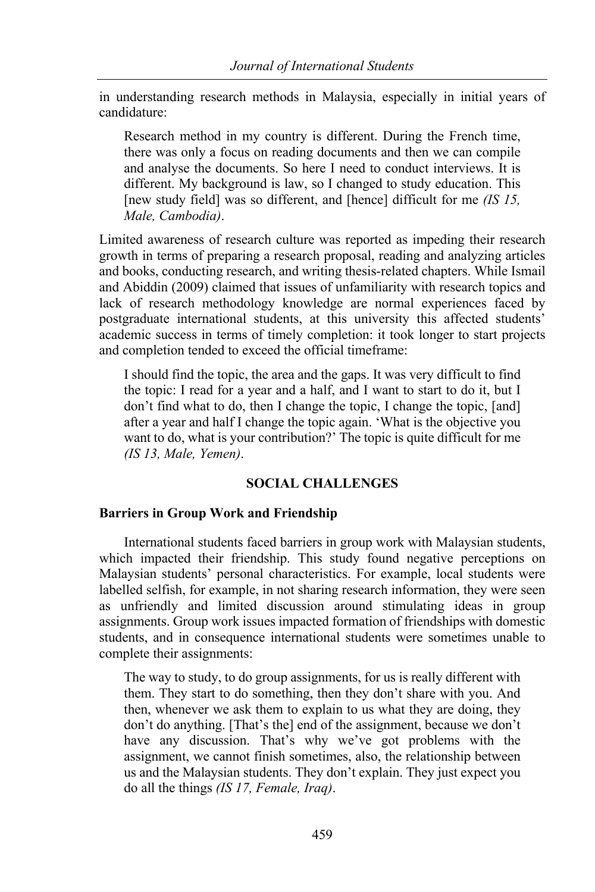in understanding research methods in Malaysia, especially in initial years of candidature:

Research method in my country is different. During the French time, there was only a focus on reading documents and then we can compile and analyse the documents. So here I need to conduct interviews. It is different. My background is law, so I changed to study education. This [new study field] was so different, and [hence] difficult for me *(IS 15, Male, Cambodia)*.

Limited awareness of research culture was reported as impeding their research growth in terms of preparing a research proposal, reading and analyzing articles and books, conducting research, and writing thesis-related chapters. While Ismail and Abiddin (2009) claimed that issues of unfamiliarity with research topics and lack of research methodology knowledge are normal experiences faced by postgraduate international students, at this university this affected students' academic success in terms of timely completion: it took longer to start projects and completion tended to exceed the official timeframe:

I should find the topic, the area and the gaps. It was very difficult to find the topic: I read for a year and a half, and I want to start to do it, but I don't find what to do, then I change the topic, I change the topic, [and] after a year and half I change the topic again. 'What is the objective you want to do, what is your contribution?' The topic is quite difficult for me *(IS 13, Male, Yemen)*.

# **SOCIAL CHALLENGES**

## **Barriers in Group Work and Friendship**

International students faced barriers in group work with Malaysian students, which impacted their friendship. This study found negative perceptions on Malaysian students' personal characteristics. For example, local students were labelled selfish, for example, in not sharing research information, they were seen as unfriendly and limited discussion around stimulating ideas in group assignments. Group work issues impacted formation of friendships with domestic students, and in consequence international students were sometimes unable to complete their assignments:

The way to study, to do group assignments, for us is really different with them. They start to do something, then they don't share with you. And then, whenever we ask them to explain to us what they are doing, they don't do anything. [That's the] end of the assignment, because we don't have any discussion. That's why we've got problems with the assignment, we cannot finish sometimes, also, the relationship between us and the Malaysian students. They don't explain. They just expect you do all the things *(IS 17, Female, Iraq)*.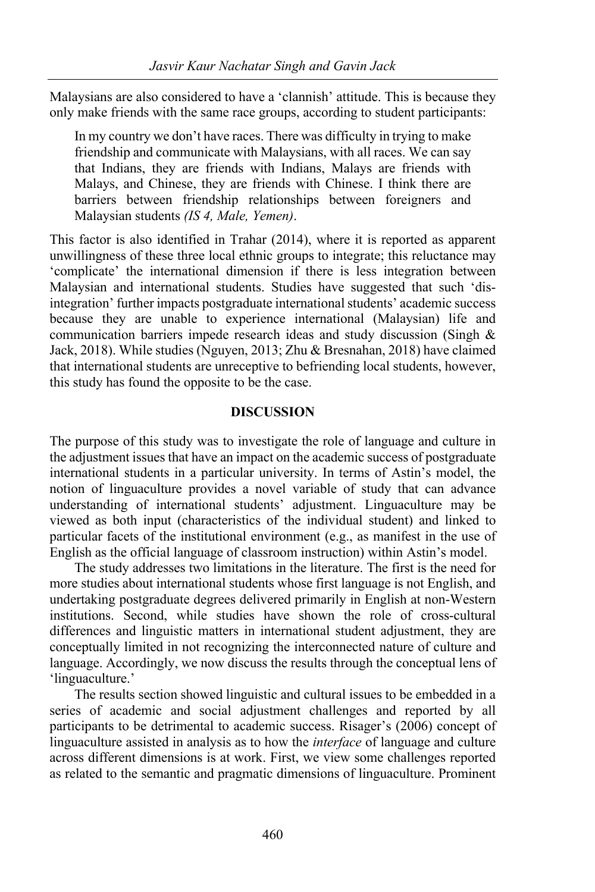Malaysians are also considered to have a 'clannish' attitude. This is because they only make friends with the same race groups, according to student participants:

In my country we don't have races. There was difficulty in trying to make friendship and communicate with Malaysians, with all races. We can say that Indians, they are friends with Indians, Malays are friends with Malays, and Chinese, they are friends with Chinese. I think there are barriers between friendship relationships between foreigners and Malaysian students *(IS 4, Male, Yemen)*.

This factor is also identified in Trahar (2014), where it is reported as apparent unwillingness of these three local ethnic groups to integrate; this reluctance may 'complicate' the international dimension if there is less integration between Malaysian and international students. Studies have suggested that such 'disintegration' further impacts postgraduate international students' academic success because they are unable to experience international (Malaysian) life and communication barriers impede research ideas and study discussion (Singh & Jack, 2018). While studies (Nguyen, 2013; Zhu & Bresnahan, 2018) have claimed that international students are unreceptive to befriending local students, however, this study has found the opposite to be the case.

#### **DISCUSSION**

The purpose of this study was to investigate the role of language and culture in the adjustment issues that have an impact on the academic success of postgraduate international students in a particular university. In terms of Astin's model, the notion of linguaculture provides a novel variable of study that can advance understanding of international students' adjustment. Linguaculture may be viewed as both input (characteristics of the individual student) and linked to particular facets of the institutional environment (e.g., as manifest in the use of English as the official language of classroom instruction) within Astin's model.

The study addresses two limitations in the literature. The first is the need for more studies about international students whose first language is not English, and undertaking postgraduate degrees delivered primarily in English at non-Western institutions. Second, while studies have shown the role of cross-cultural differences and linguistic matters in international student adjustment, they are conceptually limited in not recognizing the interconnected nature of culture and language. Accordingly, we now discuss the results through the conceptual lens of 'linguaculture.'

The results section showed linguistic and cultural issues to be embedded in a series of academic and social adjustment challenges and reported by all participants to be detrimental to academic success. Risager's (2006) concept of linguaculture assisted in analysis as to how the *interface* of language and culture across different dimensions is at work. First, we view some challenges reported as related to the semantic and pragmatic dimensions of linguaculture. Prominent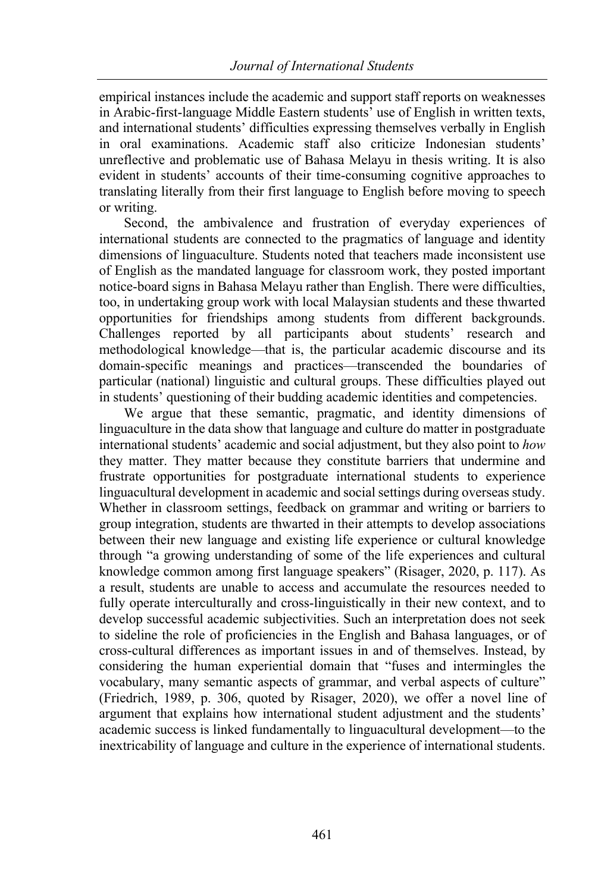empirical instances include the academic and support staff reports on weaknesses in Arabic-first-language Middle Eastern students' use of English in written texts, and international students' difficulties expressing themselves verbally in English in oral examinations. Academic staff also criticize Indonesian students' unreflective and problematic use of Bahasa Melayu in thesis writing. It is also evident in students' accounts of their time-consuming cognitive approaches to translating literally from their first language to English before moving to speech or writing.

Second, the ambivalence and frustration of everyday experiences of international students are connected to the pragmatics of language and identity dimensions of linguaculture. Students noted that teachers made inconsistent use of English as the mandated language for classroom work, they posted important notice-board signs in Bahasa Melayu rather than English. There were difficulties, too, in undertaking group work with local Malaysian students and these thwarted opportunities for friendships among students from different backgrounds. Challenges reported by all participants about students' research and methodological knowledge—that is, the particular academic discourse and its domain-specific meanings and practices—transcended the boundaries of particular (national) linguistic and cultural groups. These difficulties played out in students' questioning of their budding academic identities and competencies.

We argue that these semantic, pragmatic, and identity dimensions of linguaculture in the data show that language and culture do matter in postgraduate international students' academic and social adjustment, but they also point to *how* they matter. They matter because they constitute barriers that undermine and frustrate opportunities for postgraduate international students to experience linguacultural development in academic and social settings during overseas study. Whether in classroom settings, feedback on grammar and writing or barriers to group integration, students are thwarted in their attempts to develop associations between their new language and existing life experience or cultural knowledge through "a growing understanding of some of the life experiences and cultural knowledge common among first language speakers" (Risager, 2020, p. 117). As a result, students are unable to access and accumulate the resources needed to fully operate interculturally and cross-linguistically in their new context, and to develop successful academic subjectivities. Such an interpretation does not seek to sideline the role of proficiencies in the English and Bahasa languages, or of cross-cultural differences as important issues in and of themselves. Instead, by considering the human experiential domain that "fuses and intermingles the vocabulary, many semantic aspects of grammar, and verbal aspects of culture" (Friedrich, 1989, p. 306, quoted by Risager, 2020), we offer a novel line of argument that explains how international student adjustment and the students' academic success is linked fundamentally to linguacultural development—to the inextricability of language and culture in the experience of international students.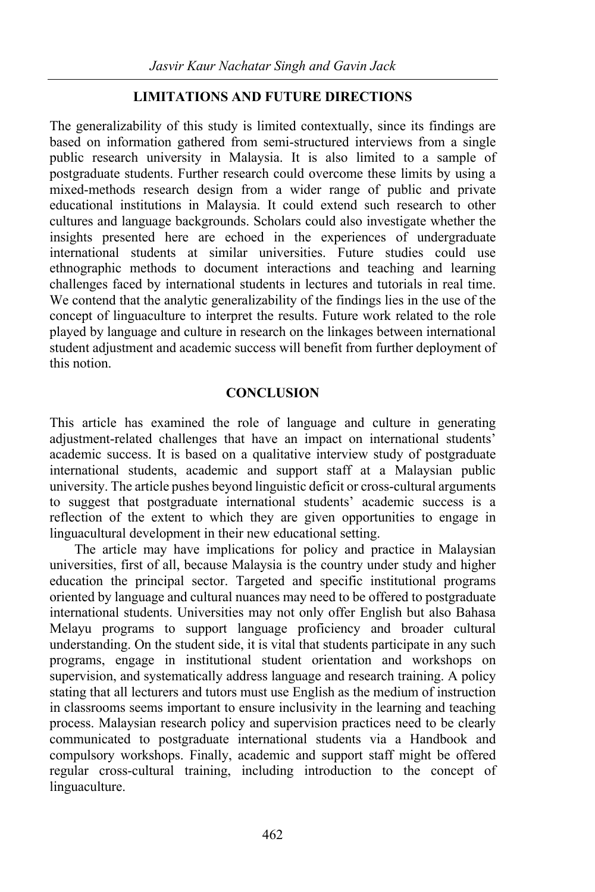# **LIMITATIONS AND FUTURE DIRECTIONS**

The generalizability of this study is limited contextually, since its findings are based on information gathered from semi-structured interviews from a single public research university in Malaysia. It is also limited to a sample of postgraduate students. Further research could overcome these limits by using a mixed-methods research design from a wider range of public and private educational institutions in Malaysia. It could extend such research to other cultures and language backgrounds. Scholars could also investigate whether the insights presented here are echoed in the experiences of undergraduate international students at similar universities. Future studies could use ethnographic methods to document interactions and teaching and learning challenges faced by international students in lectures and tutorials in real time. We contend that the analytic generalizability of the findings lies in the use of the concept of linguaculture to interpret the results. Future work related to the role played by language and culture in research on the linkages between international student adjustment and academic success will benefit from further deployment of this notion.

# **CONCLUSION**

This article has examined the role of language and culture in generating adjustment-related challenges that have an impact on international students' academic success. It is based on a qualitative interview study of postgraduate international students, academic and support staff at a Malaysian public university. The article pushes beyond linguistic deficit or cross-cultural arguments to suggest that postgraduate international students' academic success is a reflection of the extent to which they are given opportunities to engage in linguacultural development in their new educational setting.

The article may have implications for policy and practice in Malaysian universities, first of all, because Malaysia is the country under study and higher education the principal sector. Targeted and specific institutional programs oriented by language and cultural nuances may need to be offered to postgraduate international students. Universities may not only offer English but also Bahasa Melayu programs to support language proficiency and broader cultural understanding. On the student side, it is vital that students participate in any such programs, engage in institutional student orientation and workshops on supervision, and systematically address language and research training. A policy stating that all lecturers and tutors must use English as the medium of instruction in classrooms seems important to ensure inclusivity in the learning and teaching process. Malaysian research policy and supervision practices need to be clearly communicated to postgraduate international students via a Handbook and compulsory workshops. Finally, academic and support staff might be offered regular cross-cultural training, including introduction to the concept of linguaculture.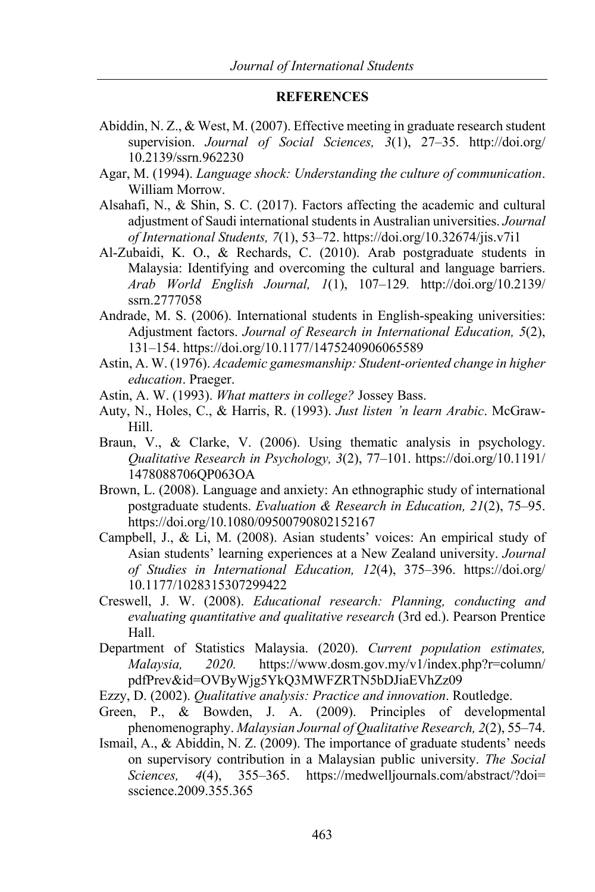#### **REFERENCES**

- Abiddin, N. Z., & West, M. (2007). Effective meeting in graduate research student supervision. *Journal of Social Sciences, 3*(1), 27–35. http://doi.org/ 10.2139/ssrn.962230
- Agar, M. (1994). *Language shock: Understanding the culture of communication*. William Morrow.
- Alsahafi, N., & Shin, S. C. (2017). Factors affecting the academic and cultural adjustment of Saudi international students in Australian universities. *Journal of International Students, 7*(1), 53–72. https://doi.org/10.32674/jis.v7i1
- Al-Zubaidi, K. O., & Rechards, C. (2010). Arab postgraduate students in Malaysia: Identifying and overcoming the cultural and language barriers. *Arab World English Journal, 1*(1), 107–129*.* http://doi.org/10.2139/ ssrn.2777058
- Andrade, M. S. (2006). International students in English-speaking universities: Adjustment factors. *Journal of Research in International Education, 5*(2), 131–154. https://doi.org/10.1177/1475240906065589
- Astin, A. W. (1976). *Academic gamesmanship: Student-oriented change in higher education*. Praeger.
- Astin, A. W. (1993). *What matters in college?* Jossey Bass.
- Auty, N., Holes, C., & Harris, R. (1993). *Just listen 'n learn Arabic*. McGraw-Hill.
- Braun, V., & Clarke, V. (2006). Using thematic analysis in psychology. *Qualitative Research in Psychology, 3*(2), 77–101. https://doi.org/10.1191/ 1478088706QP063OA
- Brown, L. (2008). Language and anxiety: An ethnographic study of international postgraduate students. *Evaluation & Research in Education, 21*(2), 75–95. https://doi.org/10.1080/09500790802152167
- Campbell, J., & Li, M. (2008). Asian students' voices: An empirical study of Asian students' learning experiences at a New Zealand university. *Journal of Studies in International Education, 12*(4), 375–396. https://doi.org/ 10.1177/1028315307299422
- Creswell, J. W. (2008). *Educational research: Planning, conducting and evaluating quantitative and qualitative research* (3rd ed.). Pearson Prentice Hall.
- Department of Statistics Malaysia. (2020). *Current population estimates, Malaysia, 2020.* https://www.dosm.gov.my/v1/index.php?r=column/ pdfPrev&id=OVByWjg5YkQ3MWFZRTN5bDJiaEVhZz09
- Ezzy, D. (2002). *Qualitative analysis: Practice and innovation*. Routledge.
- Green, P., & Bowden, J. A. (2009). Principles of developmental phenomenography. *Malaysian Journal of Qualitative Research, 2*(2), 55–74.
- Ismail, A., & Abiddin, N. Z. (2009). The importance of graduate students' needs on supervisory contribution in a Malaysian public university. *The Social Sciences, 4*(4), 355–365. https://medwelljournals.com/abstract/?doi= sscience.2009.355.365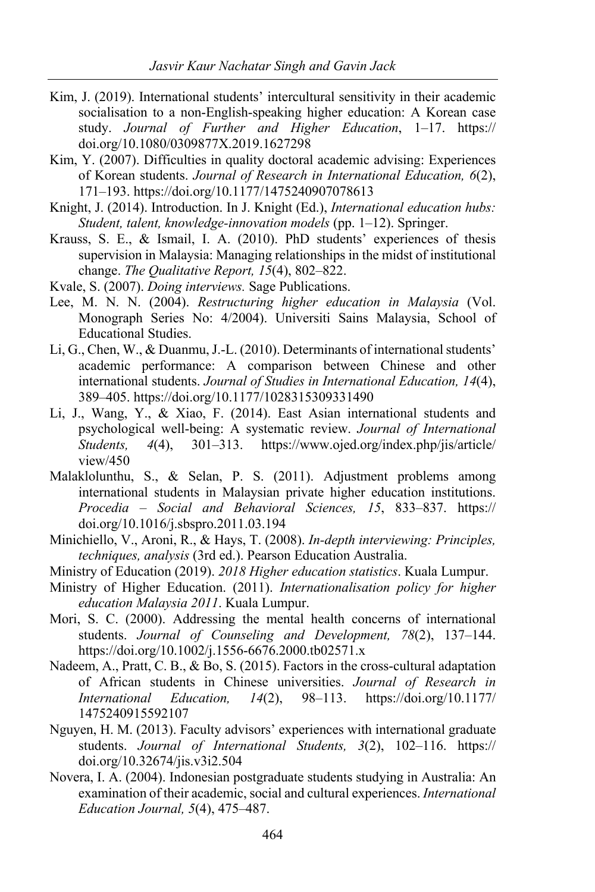- Kim, J. (2019). International students' intercultural sensitivity in their academic socialisation to a non-English-speaking higher education: A Korean case study. *Journal of Further and Higher Education*, 1–17. https:// doi.org/10.1080/0309877X.2019.1627298
- Kim, Y. (2007). Difficulties in quality doctoral academic advising: Experiences of Korean students. *Journal of Research in International Education, 6*(2), 171–193. https://doi.org/10.1177/1475240907078613
- Knight, J. (2014). Introduction. In J. Knight (Ed.), *International education hubs: Student, talent, knowledge-innovation models* (pp. 1–12). Springer.
- Krauss, S. E., & Ismail, I. A. (2010). PhD students' experiences of thesis supervision in Malaysia: Managing relationships in the midst of institutional change. *The Qualitative Report, 15*(4), 802–822.
- Kvale, S. (2007). *Doing interviews.* Sage Publications.
- Lee, M. N. N. (2004). *Restructuring higher education in Malaysia* (Vol. Monograph Series No: 4/2004). Universiti Sains Malaysia, School of Educational Studies.
- Li, G., Chen, W., & Duanmu, J.-L. (2010). Determinants of international students' academic performance: A comparison between Chinese and other international students. *Journal of Studies in International Education, 14*(4), 389–405. https://doi.org/10.1177/1028315309331490
- Li, J., Wang, Y., & Xiao, F. (2014). East Asian international students and psychological well-being: A systematic review. *Journal of International Students, 4*(4), 301–313. https://www.ojed.org/index.php/jis/article/ view/450
- Malaklolunthu, S., & Selan, P. S. (2011). Adjustment problems among international students in Malaysian private higher education institutions. *Procedia – Social and Behavioral Sciences, 15*, 833–837. https:// doi.org/10.1016/j.sbspro.2011.03.194
- Minichiello, V., Aroni, R., & Hays, T. (2008). *In-depth interviewing: Principles, techniques, analysis* (3rd ed.). Pearson Education Australia.
- Ministry of Education (2019). *2018 Higher education statistics*. Kuala Lumpur.
- Ministry of Higher Education. (2011). *Internationalisation policy for higher education Malaysia 2011*. Kuala Lumpur.
- Mori, S. C. (2000). Addressing the mental health concerns of international students. *Journal of Counseling and Development, 78*(2), 137–144. https://doi.org/10.1002/j.1556-6676.2000.tb02571.x
- Nadeem, A., Pratt, C. B., & Bo, S. (2015). Factors in the cross-cultural adaptation of African students in Chinese universities. *Journal of Research in International Education, 14*(2), 98–113. https://doi.org/10.1177/ 1475240915592107
- Nguyen, H. M. (2013). Faculty advisors' experiences with international graduate students. *Journal of International Students, 3*(2), 102–116. https:// doi.org/10.32674/jis.v3i2.504
- Novera, I. A. (2004). Indonesian postgraduate students studying in Australia: An examination of their academic, social and cultural experiences. *International Education Journal, 5*(4), 475–487.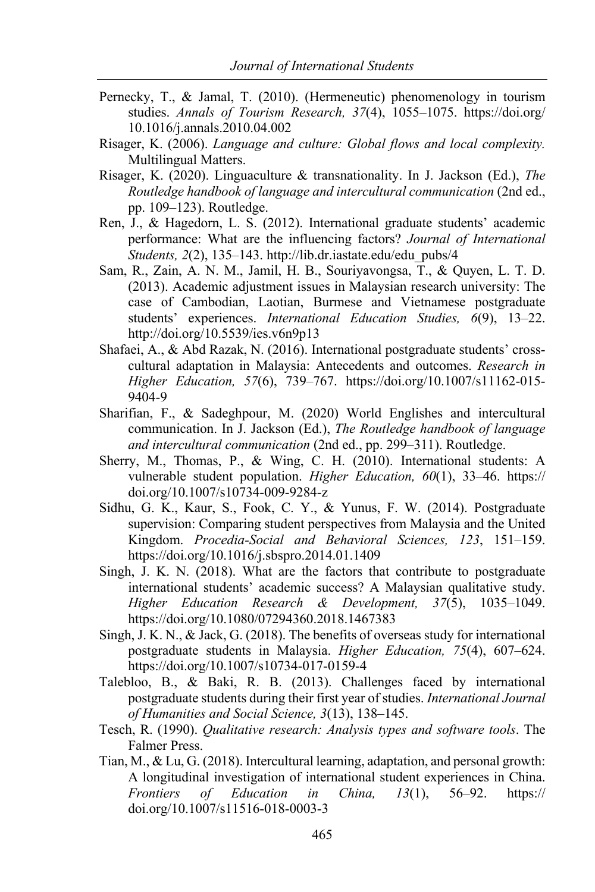- Pernecky, T., & Jamal, T. (2010). (Hermeneutic) phenomenology in tourism studies. *Annals of Tourism Research, 37*(4), 1055–1075. https://doi.org/ 10.1016/j.annals.2010.04.002
- Risager, K. (2006). *Language and culture: Global flows and local complexity.* Multilingual Matters.
- Risager, K. (2020). Linguaculture & transnationality. In J. Jackson (Ed.), *The Routledge handbook of language and intercultural communication* (2nd ed., pp. 109–123). Routledge.
- Ren, J., & Hagedorn, L. S. (2012). International graduate students' academic performance: What are the influencing factors? *Journal of International Students, 2*(2), 135–143. http://lib.dr.iastate.edu/edu\_pubs/4
- Sam, R., Zain, A. N. M., Jamil, H. B., Souriyavongsa, T., & Quyen, L. T. D. (2013). Academic adjustment issues in Malaysian research university: The case of Cambodian, Laotian, Burmese and Vietnamese postgraduate students' experiences. *International Education Studies, 6*(9), 13–22. http://doi.org/10.5539/ies.v6n9p13
- Shafaei, A., & Abd Razak, N. (2016). International postgraduate students' crosscultural adaptation in Malaysia: Antecedents and outcomes. *Research in Higher Education, 57*(6), 739–767. https://doi.org/10.1007/s11162-015- 9404-9
- Sharifian, F., & Sadeghpour, M. (2020) World Englishes and intercultural communication. In J. Jackson (Ed.), *The Routledge handbook of language and intercultural communication* (2nd ed., pp. 299–311). Routledge.
- Sherry, M., Thomas, P., & Wing, C. H. (2010). International students: A vulnerable student population. *Higher Education, 60*(1), 33–46. https:// doi.org/10.1007/s10734-009-9284-z
- Sidhu, G. K., Kaur, S., Fook, C. Y., & Yunus, F. W. (2014). Postgraduate supervision: Comparing student perspectives from Malaysia and the United Kingdom. *Procedia-Social and Behavioral Sciences, 123*, 151–159. https://doi.org/10.1016/j.sbspro.2014.01.1409
- Singh, J. K. N. (2018). What are the factors that contribute to postgraduate international students' academic success? A Malaysian qualitative study. *Higher Education Research & Development, 37*(5), 1035–1049. https://doi.org/10.1080/07294360.2018.1467383
- Singh, J. K. N., & Jack, G. (2018). The benefits of overseas study for international postgraduate students in Malaysia. *Higher Education, 75*(4), 607–624. https://doi.org/10.1007/s10734-017-0159-4
- Talebloo, B., & Baki, R. B. (2013). Challenges faced by international postgraduate students during their first year of studies. *International Journal of Humanities and Social Science, 3*(13), 138–145.
- Tesch, R. (1990). *Qualitative research: Analysis types and software tools*. The Falmer Press.
- Tian, M., & Lu, G. (2018). Intercultural learning, adaptation, and personal growth: A longitudinal investigation of international student experiences in China. *Frontiers of Education in China, 13*(1), 56–92. https:// doi.org/10.1007/s11516-018-0003-3